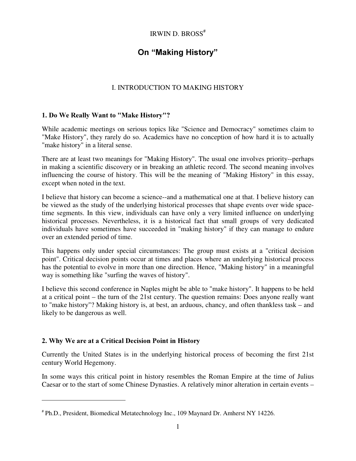# IRWIN D. BROSS #

# On "Making History"

## I. INTRODUCTION TO MAKING HISTORY

## 1. Do We Really Want to "Make History"?

While academic meetings on serious topics like "Science and Democracy" sometimes claim to "Make History", they rarely do so. Academics have no conception of how hard it is to actually "make history" in a literal sense.

There are at least two meanings for "Making History". The usual one involves priority--perhaps in making a scientific discovery or in breaking an athletic record. The second meaning involves influencing the course of history. This will be the meaning of "Making History" in this essay, except when noted in the text.

I believe that history can become a science--and a mathematical one at that. I believe history can be viewed as the study of the underlying historical processes that shape events over wide spacetime segments. In this view, individuals can have only a very limited influence on underlying historical processes. Nevertheless, it is a historical fact that small groups of very dedicated individuals have sometimes have succeeded in "making history" if they can manage to endure over an extended period of time.

This happens only under special circumstances: The group must exists at a "critical decision point". Critical decision points occur at times and places where an underlying historical process has the potential to evolve in more than one direction. Hence, "Making history" in a meaningful way is something like "surfing the waves of history".

I believe this second conference in Naples might be able to "make history". It happens to be held at a critical point – the turn of the 21st century. The question remains: Does anyone really want to "make history"? Making history is, at best, an arduous, chancy, and often thankless task – and likely to be dangerous as well.

## 2. Why We are at a Critical Decision Point in History

Currently the United States is in the underlying historical process of becoming the first 21st century World Hegemony.

In some ways this critical point in history resembles the Roman Empire at the time of Julius Caesar or to the start of some Chinese Dynasties. A relatively minor alteration in certain events –

<sup>#</sup> Ph.D., President, Biomedical Metatechnology Inc., 109 Maynard Dr. Amherst NY 14226.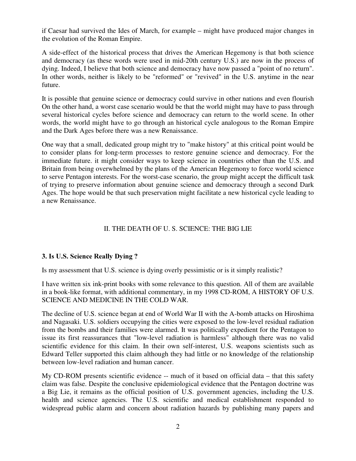if Caesar had survived the Ides of March, for example – might have produced major changes in the evolution of the Roman Empire.

A side-effect of the historical process that drives the American Hegemony is that both science and democracy (as these words were used in mid-20th century U.S.) are now in the process of dying. Indeed, I believe that both science and democracy have now passed a "point of no return". In other words, neither is likely to be "reformed" or "revived" in the U.S. anytime in the near future.

It is possible that genuine science or democracy could survive in other nations and even flourish On the other hand, a worst case scenario would be that the world might may have to pass through several historical cycles before science and democracy can return to the world scene. In other words, the world might have to go through an historical cycle analogous to the Roman Empire and the Dark Ages before there was a new Renaissance.

One way that a small, dedicated group might try to "make history" at this critical point would be to consider plans for long-term processes to restore genuine science and democracy. For the immediate future. it might consider ways to keep science in countries other than the U.S. and Britain from being overwhelmed by the plans of the American Hegemony to force world science to serve Pentagon interests. For the worst-case scenario, the group might accept the difficult task of trying to preserve information about genuine science and democracy through a second Dark Ages. The hope would be that such preservation might facilitate a new historical cycle leading to a new Renaissance.

## II. THE DEATH OF U. S. SCIENCE: THE BIG LIE

## 3. Is U.S. Science Really Dying ?

Is my assessment that U.S. science is dying overly pessimistic or is it simply realistic?

I have written six ink-print books with some relevance to this question. All of them are available in a book-like format, with additional commentary, in my 1998 CD-ROM, A HISTORY OF U.S. SCIENCE AND MEDICINE IN THE COLD WAR.

The decline of U.S. science began at end of World War II with the A-bomb attacks on Hiroshima and Nagasaki. U.S. soldiers occupying the cities were exposed to the low-level residual radiation from the bombs and their families were alarmed. It was politically expedient for the Pentagon to issue its first reassurances that "low-level radiation is harmless" although there was no valid scientific evidence for this claim. In their own self-interest, U.S. weapons scientists such as Edward Teller supported this claim although they had little or no knowledge of the relationship between low-level radiation and human cancer.

My CD-ROM presents scientific evidence -- much of it based on official data – that this safety claim was false. Despite the conclusive epidemiological evidence that the Pentagon doctrine was a Big Lie, it remains as the official position of U.S. government agencies, including the U.S. health and science agencies. The U.S. scientific and medical establishment responded to widespread public alarm and concern about radiation hazards by publishing many papers and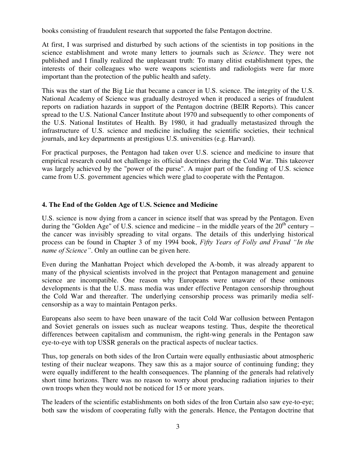books consisting of fraudulent research that supported the false Pentagon doctrine.

At first, I was surprised and disturbed by such actions of the scientists in top positions in the science establishment and wrote many letters to journals such as *Science*. They were not published and I finally realized the unpleasant truth: To many elitist establishment types, the interests of their colleagues who were weapons scientists and radiologists were far more important than the protection of the public health and safety.

This was the start of the Big Lie that became a cancer in U.S. science. The integrity of the U.S. National Academy of Science was gradually destroyed when it produced a series of fraudulent reports on radiation hazards in support of the Pentagon doctrine (BEIR Reports). This cancer spread to the U.S. National Cancer Institute about 1970 and subsequently to other components of the U.S. National Institutes of Health. By 1980, it had gradually metastasized through the infrastructure of U.S. science and medicine including the scientific societies, their technical journals, and key departments at prestigious U.S. universities (e.g. Harvard).

For practical purposes, the Pentagon had taken over U.S. science and medicine to insure that empirical research could not challenge its official doctrines during the Cold War. This takeover was largely achieved by the "power of the purse". A major part of the funding of U.S. science came from U.S. government agencies which were glad to cooperate with the Pentagon.

## 4. The End of the Golden Age of U.S. Science and Medicine

U.S. science is now dying from a cancer in science itself that was spread by the Pentagon. Even during the "Golden Age" of U.S. science and medicine – in the middle years of the  $20^{th}$  century – the cancer was invisibly spreading to vital organs. The details of this underlying historical process can be found in Chapter 3 of my 1994 book, Fifty Years of Folly and Fraud "In the *name of Science*". Only an outline can be given here.

Even during the Manhattan Project which developed the A-bomb, it was already apparent to many of the physical scientists involved in the project that Pentagon management and genuine science are incompatible. One reason why Europeans were unaware of these ominous developments is that the U.S. mass media was under effective Pentagon censorship throughout the Cold War and thereafter. The underlying censorship process was primarily media selfcensorship as a way to maintain Pentagon perks.

Europeans also seem to have been unaware of the tacit Cold War collusion between Pentagon and Soviet generals on issues such as nuclear weapons testing. Thus, despite the theoretical differences between capitalism and communism, the right-wing generals in the Pentagon saw eye-to-eye with top USSR generals on the practical aspects of nuclear tactics.

Thus, top generals on both sides of the Iron Curtain were equally enthusiastic about atmospheric testing of their nuclear weapons. They saw this as a major source of continuing funding; they were equally indifferent to the health consequences. The planning of the generals had relatively short time horizons. There was no reason to worry about producing radiation injuries to their own troops when they would not be noticed for 15 or more years.

The leaders of the scientific establishments on both sides of the Iron Curtain also saw eye-to-eye; both saw the wisdom of cooperating fully with the generals. Hence, the Pentagon doctrine that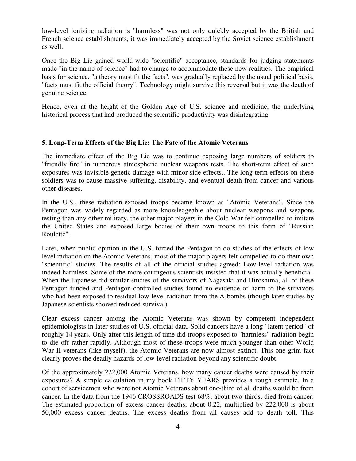low-level ionizing radiation is "harmless" was not only quickly accepted by the British and French science establishments, it was immediately accepted by the Soviet science establishment as well.

Once the Big Lie gained world-wide "scientific" acceptance, standards for judging statements made "in the name of science" had to change to accommodate these new realities. The empirical basis for science, "a theory must fit the facts", was gradually replaced by the usual political basis, "facts must fit the official theory". Technology might survive this reversal but it was the death of genuine science.

Hence, even at the height of the Golden Age of U.S. science and medicine, the underlying historical process that had produced the scientific productivity was disintegrating.

## 5. Long-Term Effects of the Big Lie: The Fate of the Atomic Veterans

The immediate effect of the Big Lie was to continue exposing large numbers of soldiers to "friendly fire" in numerous atmospheric nuclear weapons tests. The short-term effect of such exposures was invisible genetic damage with minor side effects.. The long-term effects on these soldiers was to cause massive suffering, disability, and eventual death from cancer and various other diseases.

In the U.S., these radiation-exposed troops became known as "Atomic Veterans". Since the Pentagon was widely regarded as more knowledgeable about nuclear weapons and weapons testing than any other military, the other major players in the Cold War felt compelled to imitate the United States and exposed large bodies of their own troops to this form of "Russian Roulette".

Later, when public opinion in the U.S. forced the Pentagon to do studies of the effects of low level radiation on the Atomic Veterans, most of the major players felt compelled to do their own "scientific" studies. The results of all of the official studies agreed: Low-level radiation was indeed harmless. Some of the more courageous scientists insisted that it was actually beneficial. When the Japanese did similar studies of the survivors of Nagasaki and Hiroshima, all of these Pentagon-funded and Pentagon-controlled studies found no evidence of harm to the survivors who had been exposed to residual low-level radiation from the A-bombs (though later studies by Japanese scientists showed reduced survival).

Clear excess cancer among the Atomic Veterans was shown by competent independent epidemiologists in later studies of U.S. official data. Solid cancers have a long "latent period" of roughly 14 years. Only after this length of time did troops exposed to "harmless" radiation begin to die off rather rapidly. Although most of these troops were much younger than other World War II veterans (like myself), the Atomic Veterans are now almost extinct. This one grim fact clearly proves the deadly hazards of low-level radiation beyond any scientific doubt.

Of the approximately 222,000 Atomic Veterans, how many cancer deaths were caused by their exposures? A simple calculation in my book FIFTY YEARS provides a rough estimate. In a cohort of servicemen who were not Atomic Veterans about one-third of all deaths would be from cancer. In the data from the 1946 CROSSROADS test 68%, about two-thirds, died from cancer. The estimated proportion of excess cancer deaths, about 0.22, multiplied by 222,000 is about 50,000 excess cancer deaths. The excess deaths from all causes add to death toll. This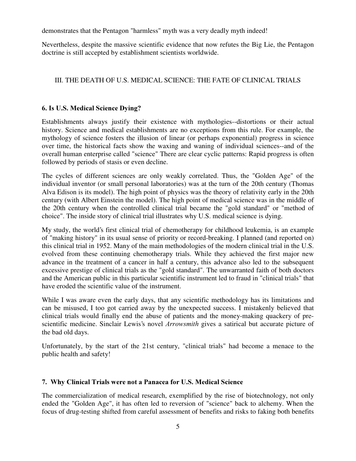demonstrates that the Pentagon "harmless" myth was a very deadly myth indeed!

Nevertheless, despite the massive scientific evidence that now refutes the Big Lie, the Pentagon doctrine is still accepted by establishment scientists worldwide.

# III. THE DEATH OF U.S. MEDICAL SCIENCE: THE FATE OF CLINICAL TRIALS

# 6. Is U.S. Medical Science Dying?

Establishments always justify their existence with mythologies--distortions or their actual history. Science and medical establishments are no exceptions from this rule. For example, the mythology of science fosters the illusion of linear (or perhaps exponential) progress in science over time, the historical facts show the waxing and waning of individual sciences--and of the overall human enterprise called "science" There are clear cyclic patterns: Rapid progress is often followed by periods of stasis or even decline.

The cycles of different sciences are only weakly correlated. Thus, the "Golden Age" of the individual inventor (or small personal laboratories) was at the turn of the 20th century (Thomas Alva Edison is its model). The high point of physics was the theory of relativity early in the 20th century (with Albert Einstein the model). The high point of medical science was in the middle of the 20th century when the controlled clinical trial became the "gold standard" or "method of choice". The inside story of clinical trial illustrates why U.S. medical science is dying.

My study, the world's first clinical trial of chemotherapy for childhood leukemia, is an example of "making history" in its usual sense of priority or record-breaking. I planned (and reported on) this clinical trial in 1952. Many of the main methodologies of the modern clinical trial in the U.S. evolved from these continuing chemotherapy trials. While they achieved the first major new advance in the treatment of a cancer in half a century, this advance also led to the subsequent excessive prestige of clinical trials as the "gold standard". The unwarranted faith of both doctors and the American public in this particular scientific instrument led to fraud in "clinical trials" that have eroded the scientific value of the instrument.

While I was aware even the early days, that any scientific methodology has its limitations and can be misused, I too got carried away by the unexpected success. I mistakenly believed that clinical trials would finally end the abuse of patients and the money-making quackery of prescientific medicine. Sinclair Lewis's novel *Arrowsmith* gives a satirical but accurate picture of the bad old days.

Unfortunately, by the start of the 21st century, "clinical trials" had become a menace to the public health and safety!

## 7. Why Clinical Trials were not a Panacea for U.S. Medical Science

The commercialization of medical research, exemplified by the rise of biotechnology, not only ended the "Golden Age", it has often led to reversion of "science" back to alchemy. When the focus of drug-testing shifted from careful assessment of benefits and risks to faking both benefits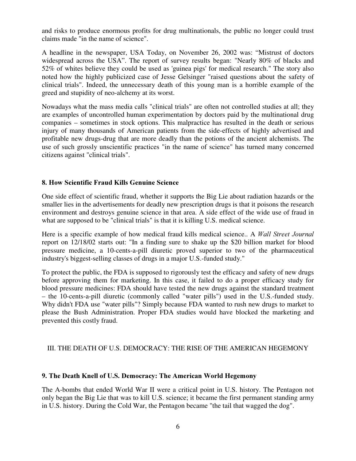and risks to produce enormous profits for drug multinationals, the public no longer could trust claims made "in the name of science".

A headline in the newspaper, USA Today, on November 26, 2002 was: "Mistrust of doctors widespread across the USA". The report of survey results began: "Nearly 80% of blacks and 52% of whites believe they could be used as 'guinea pigs'for medical research." The story also noted how the highly publicized case of Jesse Gelsinger "raised questions about the safety of clinical trials". Indeed, the unnecessary death of this young man is a horrible example of the greed and stupidity of neo-alchemy at its worst.

Nowadays what the mass media calls "clinical trials" are often not controlled studies at all; they are examples of uncontrolled human experimentation by doctors paid by the multinational drug companies – sometimes in stock options. This malpractice has resulted in the death or serious injury of many thousands of American patients from the side-effects of highly advertised and profitable new drugs-drug that are more deadly than the potions of the ancient alchemists. The use of such grossly unscientific practices "in the name of science" has turned many concerned citizens against "clinical trials".

#### 8. How Scientific Fraud Kills Genuine Science

One side effect of scientific fraud, whether it supports the Big Lie about radiation hazards or the smaller lies in the advertisements for deadly new prescription drugs is that it poisons the research environment and destroys genuine science in that area. A side effect of the wide use of fraud in what are supposed to be "clinical trials" is that it is killing U.S. medical science.

Here is a specific example of how medical fraud kills medical science.. A Wall Street Journal report on 12/18/02 starts out: "In a finding sure to shake up the \$20 billion market for blood pressure medicine, a 10-cents-a-pill diuretic proved superior to two of the pharmaceutical industry's biggest-selling classes of drugs in a major U.S.-funded study."

To protect the public, the FDA is supposed to rigorously test the efficacy and safety of new drugs before approving them for marketing. In this case, it failed to do a proper efficacy study for blood pressure medicines: FDA should have tested the new drugs against the standard treatment – the 10-cents-a-pill diuretic (commonly called "water pills") used in the U.S.-funded study. Why didn't FDA use "water pills"? Simply because FDA wanted to rush new drugs to market to please the Bush Administration. Proper FDA studies would have blocked the marketing and prevented this costly fraud.

#### III. THE DEATH OF U.S. DEMOCRACY: THE RISE OF THE AMERICAN HEGEMONY

#### 9. The Death Knell of U.S. Democracy: The American World Hegemony

The A-bombs that ended World War II were a critical point in U.S. history. The Pentagon not only began the Big Lie that was to kill U.S. science; it became the first permanent standing army in U.S. history. During the Cold War, the Pentagon became "the tail that wagged the dog".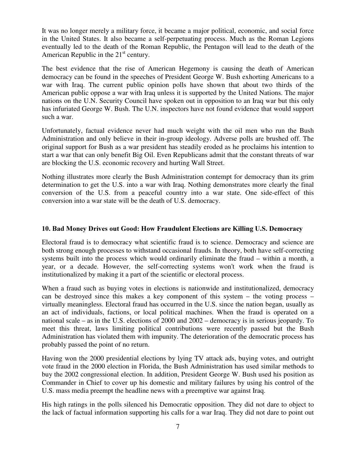It was no longer merely a military force, it became a major political, economic, and social force in the United States. It also became a self-perpetuating process. Much as the Roman Legions eventually led to the death of the Roman Republic, the Pentagon will lead to the death of the American Republic in the  $21<sup>st</sup>$  century.

The best evidence that the rise of American Hegemony is causing the death of American democracy can be found in the speeches of President George W. Bush exhorting Americans to a war with Iraq. The current public opinion polls have shown that about two thirds of the American public oppose a war with Iraq unless it is supported by the United Nations. The major nations on the U.N. Security Council have spoken out in opposition to an Iraq war but this only has infuriated George W. Bush. The U.N. inspectors have not found evidence that would support such a war.

Unfortunately, factual evidence never had much weight with the oil men who run the Bush Administration and only believe in their in-group ideology. Adverse polls are brushed off. The original support for Bush as a war president has steadily eroded as he proclaims his intention to start a war that can only benefit Big Oil. Even Republicans admit that the constant threats of war are blocking the U.S. economic recovery and hurting Wall Street.

Nothing illustrates more clearly the Bush Administration contempt for democracy than its grim determination to get the U.S. into a war with Iraq. Nothing demonstrates more clearly the final conversion of the U.S. from a peaceful country into a war state. One side-effect of this conversion into a war state will be the death of U.S. democracy.

#### 10. Bad Money Drives out Good: How Fraudulent Elections are Killing U.S. Democracy

Electoral fraud is to democracy what scientific fraud is to science. Democracy and science are both strong enough processes to withstand occasional frauds. In theory, both have self-correcting systems built into the process which would ordinarily eliminate the fraud – within a month, a year, or a decade. However, the self-correcting systems won't work when the fraud is institutionalized by making it a part of the scientific or electoral process.

When a fraud such as buying votes in elections is nationwide and institutionalized, democracy can be destroyed since this makes a key component of this system – the voting process – virtually meaningless. Electoral fraud has occurred in the U.S. since the nation began, usually as an act of individuals, factions, or local political machines. When the fraud is operated on a national scale – as in the U.S. elections of 2000 and 2002 – democracy is in serious jeopardy. To meet this threat, laws limiting political contributions were recently passed but the Bush Administration has violated them with impunity. The deterioration of the democratic process has probably passed the point of no return.

Having won the 2000 presidential elections by lying TV attack ads, buying votes, and outright vote fraud in the 2000 election in Florida, the Bush Administration has used similar methods to buy the 2002 congressional election. In addition, President George W. Bush used his position as Commander in Chief to cover up his domestic and military failures by using his control of the U.S. mass media preempt the headline news with a preemptive war against Iraq.

His high ratings in the polls silenced his Democratic opposition. They did not dare to object to the lack of factual information supporting his calls for a war Iraq. They did not dare to point out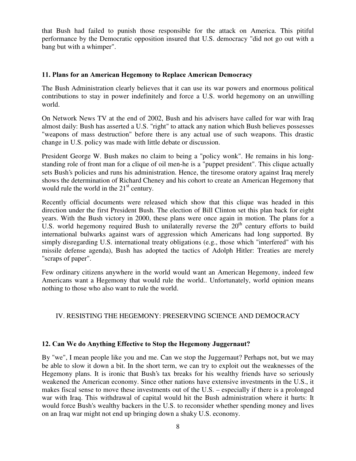that Bush had failed to punish those responsible for the attack on America. This pitiful performance by the Democratic opposition insured that U.S. democracy "did not go out with a bang but with a whimper".

#### 11. Plans for an American Hegemony to Replace American Democracy

The Bush Administration clearly believes that it can use its war powers and enormous political contributions to stay in power indefinitely and force a U.S. world hegemony on an unwilling world.

On Network News TV at the end of 2002, Bush and his advisers have called for war with Iraq almost daily: Bush has asserted a U.S. "right" to attack any nation which Bush believes possesses "weapons of mass destruction" before there is any actual use of such weapons. This drastic change in U.S. policy was made with little debate or discussion.

President George W. Bush makes no claim to being a "policy wonk". He remains in his longstanding role of front man for a clique of oil men-he is a "puppet president". This clique actually sets Bush's policies and runs his administration. Hence, the tiresome oratory against Iraq merely shows the determination of Richard Cheney and his cohort to create an American Hegemony that would rule the world in the  $21<sup>st</sup>$  century.

Recently official documents were released which show that this clique was headed in this direction under the first President Bush. The election of Bill Clinton set this plan back for eight years. With the Bush victory in 2000, these plans were once again in motion. The plans for a U.S. world hegemony required Bush to unilaterally reverse the  $20<sup>th</sup>$  century efforts to build international bulwarks against wars of aggression which Americans had long supported. By simply disregarding U.S. international treaty obligations (e.g., those which "interfered" with his missile defense agenda), Bush has adopted the tactics of Adolph Hitler: Treaties are merely "scraps of paper".

Few ordinary citizens anywhere in the world would want an American Hegemony, indeed few Americans want a Hegemony that would rule the world.. Unfortunately, world opinion means nothing to those who also want to rule the world.

## IV. RESISTING THE HEGEMONY: PRESERVING SCIENCE AND DEMOCRACY

#### 12. Can We do Anything Effective to Stop the Hegemony Juggernaut?

By "we", I mean people like you and me. Can we stop the Juggernaut? Perhaps not, but we may be able to slow it down a bit. In the short term, we can try to exploit out the weaknesses of the Hegemony plans. It is ironic that Bush's tax breaks for his wealthy friends have so seriously weakened the American economy. Since other nations have extensive investments in the U.S., it makes fiscal sense to move these investments out of the U.S. – especially if there is a prolonged war with Iraq. This withdrawal of capital would hit the Bush administration where it hurts: It would force Bush's wealthy backers in the U.S. to reconsider whether spending money and lives on an Iraq war might not end up bringing down a shaky U.S. economy.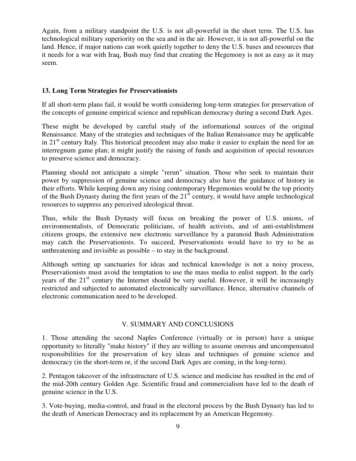Again, from a military standpoint the U.S. is not all-powerful in the short term. The U.S. has technological military superiority on the sea and in the air. However, it is not all-powerful on the land. Hence, if major nations can work quietly together to deny the U.S. bases and resources that it needs for a war with Iraq, Bush may find that creating the Hegemony is not as easy as it may seem.

#### 13. Long Term Strategies for Preservationists

If all short-term plans fail, it would be worth considering long-term strategies for preservation of the concepts of genuine empirical science and republican democracy during a second Dark Ages.

These might be developed by careful study of the informational sources of the original Renaissance. Many of the strategies and techniques of the Italian Renaissance may be applicable in 21<sup>st</sup> century Italy. This historical precedent may also make it easier to explain the need for an interregnum game plan; it might justify the raising of funds and acquisition of special resources to preserve science and democracy.

Planning should not anticipate a simple "rerun" situation. Those who seek to maintain their power by suppression of genuine science and democracy also have the guidance of history in their efforts. While keeping down any rising contemporary Hegemonies would be the top priority of the Bush Dynasty during the first years of the  $21<sup>st</sup>$  century, it would have ample technological resources to suppress any perceived ideological threat.

Thus, while the Bush Dynasty will focus on breaking the power of U.S. unions, of environmentalists, of Democratic politicians, of health activists, and of anti-establishment citizens groups, the extensive new electronic surveillance by a paranoid Bush Administration may catch the Preservationists. To succeed, Preservationists would have to try to be as unthreatening and invisible as possible – to stay in the background.

Although setting up sanctuaries for ideas and technical knowledge is not a noisy process, Preservationists must avoid the temptation to use the mass media to enlist support. In the early years of the 21<sup>st</sup> century the Internet should be very useful. However, it will be increasingly restricted and subjected to automated electronically surveillance. Hence, alternative channels of electronic communication need to be developed.

#### V. SUMMARY AND CONCLUSIONS

1. Those attending the second Naples Conference (virtually or in person) have a unique opportunity to literally "make history" if they are willing to assume onerous and uncompensated responsibilities for the preservation of key ideas and techniques of genuine science and democracy (in the short-term or, if the second Dark Ages are coming, in the long-term).

2. Pentagon takeover of the infrastructure of U.S. science and medicine has resulted in the end of the mid-20th century Golden Age. Scientific fraud and commercialism have led to the death of genuine science in the U.S.

3. Vote-buying, media-control, and fraud in the electoral process by the Bush Dynasty has led to the death of American Democracy and its replacement by an American Hegemony.